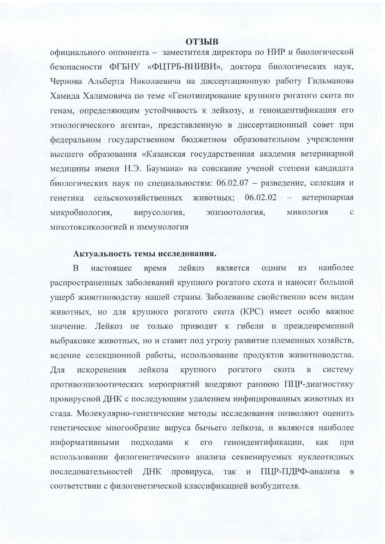#### **ОТЗЫВ**

официального оппонента - заместителя директора по НИР и биологической безопасности ФГБНУ «ФЦТРБ-ВНИВИ», доктора биологических наук, Чернова Альберта Николаевича на диссертационную работу Гильманова Хамида Халимовича по теме «Генотипирование крупного рогатого скота по генам, определяющим устойчивость к лейкозу, и геноидентификация его этиологического агента», представленную в диссертационный совет при федеральном государственном бюджетном образовательном учреждении высшего образования «Казанская государственная академия ветеринарной медицины имени Н.Э. Баумана» на соискание ученой степени кандидата биологических наук по специальностям: 06.02.07 - разведение, селекция и животных; 06.02.02 сельскохозяйственных ветеринарная генетика эпизоотология, микробиология, вирусология, МИКОЛОГИЯ  $\mathbf{C}$ микотоксикологией и иммунология

## Актуальность темы исследования.

наиболее ОДНИМ <sub>B</sub> лейкоз является **ИЗ** настоящее время распространенных заболеваний крупного рогатого скота и наносит большой ущерб животноводству нашей страны. Заболевание свойственно всем видам животных, но для крупного рогатого скота (КРС) имеет особо важное значение. Лейкоз не только приводит к гибели и преждевременной выбраковке животных, но и ставит под угрозу развитие племенных хозяйств, ведение селекционной работы, использование продуктов животноводства. Для лейкоза крупного рогатого скота  $\overline{B}$ систему искоренения противоэпизоотических мероприятий внедряют раннюю ПЦР-диагностику провирусной ДНК с последующим удалением инфицированных животных из стада. Молекулярно-генетические методы исследования позволяют оценить генетическое многообразие вируса бычьего лейкоза, и являются наиболее информативными геноидентификации, подходами  ${\bf K}$  $e_{\Gamma}$ как при использовании филогенетического анализа секвенируемых нуклеотидных последовательностей ДНК провируса, так и ПЦР-ПДРФ-анализа  $\overline{B}$ соответствии с филогенетической классификацией возбудителя.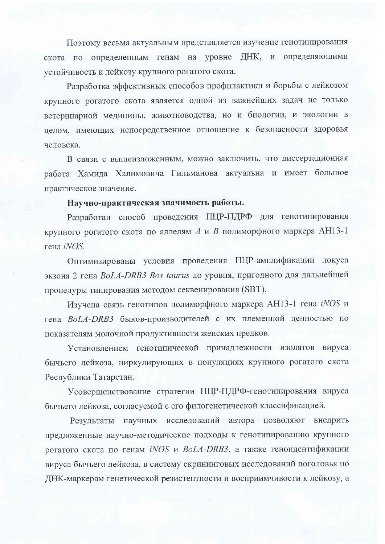Поэтому весьма актуальным представляется изучение генотипирования определенным генам на уровне ДНК, и определяющими скота по устойчивость к лейкозу крупного рогатого скота.

Разработка эффективных способов профилактики и борьбы с лейкозом крупного рогатого скота является одной из важнейших задач не только ветеринарной медицины, животноводства, но и биологии, и экологии в целом, имеющих непосредственное отношение к безопасности здоровья человека.

В связи с вышеизложенным, можно заключить, что диссертационная работа Хамида Халимовича Гильманова актуальна и имеет большое практическое значение.

# Научно-практическая значимость работы.

Разработан способ проведения ПЦР-ПДРФ для генотипирования крупного рогатого скота по аллелям А и В полиморфного маркера АН13-1 гена *iNOS*.

Оптимизированы условия проведения ПЦР-амплификации локуса экзона 2 гена BoLA-DRB3 Bos taurus до уровня, пригодного для дальнейшей процедуры типирования методом секвенирования (SBT).

Изучена связь генотипов полиморфного маркера АН13-1 гена *iNOS* и гена BoLA-DRB3 быков-производителей с их племенной ценностью по показателям молочной продуктивности женских предков.

Установлением генотипической принадлежности изолятов вируса бычьего лейкоза, циркулирующих в популяциях крупного рогатого скота Республики Татарстан.

Усовершенствование стратегии ПЦР-ПДРФ-генотипирования вируса бычьего лейкоза, согласуемой с его филогенетической классификацией.

Результаты научных исследований автора позволяют внедрить предложенные научно-методические подходы к генотипированию крупного рогатого скота по генам iNOS и BoLA-DRB3, а также геноидентификации вируса бычьего лейкоза, в систему скрининговых исследований поголовья по ДНК-маркерам генетической резистентности и восприимчивости к лейкозу, а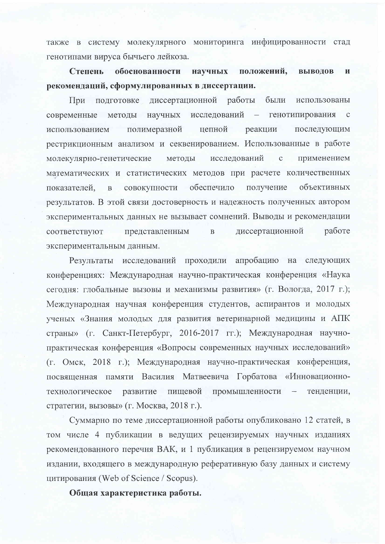также в систему молекулярного мониторинга инфицированности стад генотипами вируса бычьего лейкоза.

положений, **Степень** обоснованности научных **ВЫВОЛОВ**  $\mathbf{M}$ рекомендаций, сформулированных в диссертации.

подготовке диссертационной работы были использованы При современные методы научных исследований - генотипирования  $\mathbf{C}$ полимеразной цепной реакции последующим использованием рестрикционным анализом и секвенированием. Использованные в работе молекулярно-генетические методы исследований  $\mathbf C$ применением математических и статистических методов при расчете количественных совокупности обеспечило получение объективных показателей.  $\overline{B}$ результатов. В этой связи достоверность и надежность полученных автором экспериментальных данных не вызывает сомнений. Выводы и рекомендации лиссертационной работе  $\overline{B}$ соответствуют представленным экспериментальным данным.

Результаты исследований проходили апробацию на следующих конференциях: Международная научно-практическая конференция «Наука сегодня: глобальные вызовы и механизмы развития» (г. Вологда, 2017 г.); Международная научная конференция студентов, аспирантов и молодых ученых «Знания молодых для развития ветеринарной медицины и АПК страны» (г. Санкт-Петербург, 2016-2017 гг.); Международная научнопрактическая конференция «Вопросы современных научных исследований» (г. Омск, 2018 г.); Международная научно-практическая конференция, посвященная памяти Василия Матвеевича Горбатова «Инновационнопищевой промышленности технологическое развитие тенденции, стратегии, вызовы» (г. Москва, 2018 г.).

Суммарно по теме диссертационной работы опубликовано 12 статей, в том числе 4 публикации в ведущих рецензируемых научных изданиях рекомендованного перечня ВАК, и 1 публикация в рецензируемом научном издании, входящего в международную реферативную базу данных и систему цитирования (Web of Science / Scopus).

Общая характеристика работы.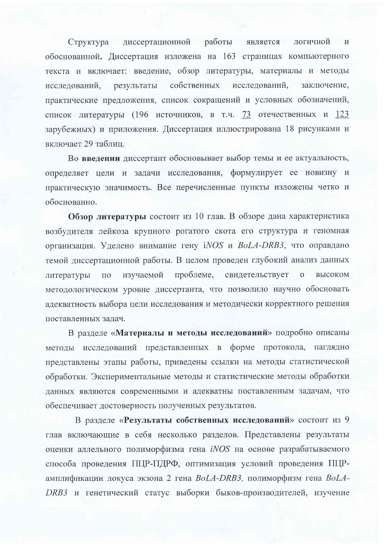диссертационной работы является логичной Структура  $\overline{M}$ обоснованной. Диссертация изложена на 163 страницах компьютерного текста и включает: введение, обзор литературы, материалы и методы результаты собственных исследований, заключение. исследований, практические предложения, список сокращений и условных обозначений, список литературы (196 источников, в т.ч. 73 отечественных и 123 зарубежных) и приложения. Диссертация иллюстрирована 18 рисунками и включает 29 таблиц.

Во введении диссертант обосновывает выбор темы и ее актуальность, определяет цели и задачи исследования, формулирует ее новизну и практическую значимость. Все перечисленные пункты изложены четко и обоснованно.

Обзор литературы состоит из 10 глав. В обзоре дана характеристика возбудителя лейкоза крупного рогатого скота его структура и геномная организация. Уделено внимание гену iNOS и BoLA-DRB3, что оправдано темой диссертационной работы. В целом проведен глубокий анализ данных проблеме, свидетельствует изучаемой  $\overline{O}$ высоком литературы  $\Pi$ <sup>O</sup> методологическом уровне диссертанта, что позволило научно обосновать адекватность выбора цели исследования и методически корректного решения поставленных задач.

В разделе «Материалы и методы исследований» подробно описаны методы исследований представленных в форме протокола, наглядно представлены этапы работы, приведены ссылки на методы статистической обработки. Экспериментальные методы и статистические методы обработки данных являются современными и адекватны поставленным задачам, что обеспечивает достоверность полученных результатов.

В разделе «Результаты собственных исследований» состоит из 9 глав включающие в себя несколько разделов. Представлены результаты оценки аллельного полиморфизма гена *iNOS* на основе разрабатываемого способа проведения ПЦР-ПДРФ, оптимизация условий проведения ПЦРамплификации локуса экзона 2 гена BoLA-DRB3, полиморфизм гена BoLA-DRB3 и генетический статус выборки быков-производителей, изучение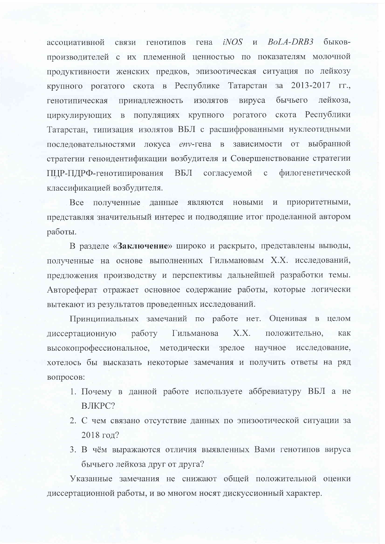связи генотипов гена *iNOS* и *BoLA-DRB3* быковассоциативной производителей с их племенной ценностью по показателям молочной продуктивности женских предков, эпизоотическая ситуация по лейкозу крупного рогатого скота в Республике Татарстан за 2013-2017 гг., принадлежность изолятов вируса бычьего лейкоза. генотипическая циркулирующих в популяциях крупного рогатого скота Республики Татарстан, типизация изолятов ВБЛ с расшифрованными нуклеотидными последовательностями локуса епу-гена в зависимости от выбранной стратегии геноидентификации возбудителя и Совершенствование стратегии ПЦР-ПДРФ-генотипирования ВБЛ согласуемой с филогенетической классификацией возбудителя.

приоритетными, Все полученные данные являются новыми и представляя значительный интерес и подводящие итог проделанной автором работы.

В разделе «Заключение» широко и раскрыто, представлены выводы, полученные на основе выполненных Гильмановым Х.Х. исследований, предложения производству и перспективы дальнейшей разработки темы. Автореферат отражает основное содержание работы, которые логически вытекают из результатов проведенных исследований.

Принципиальных замечаний по работе нет. Оценивая в целом  $X.X.$ работу Гильманова положительно, диссертационную как высокопрофессиональное, методически зрелое научное исследование, хотелось бы высказать некоторые замечания и получить ответы на ряд вопросов:

- 1. Почему в данной работе используете аббревиатуру ВБЛ а не ВЛКРС?
- 2. С чем связано отсутствие данных по эпизоотической ситуации за 2018 год?
- 3. В чём выражаются отличия выявленных Вами генотипов вируса бычьего лейкоза друг от друга?

Указанные замечания не снижают общей положительной оценки диссертационной работы, и во многом носят дискуссионный характер.